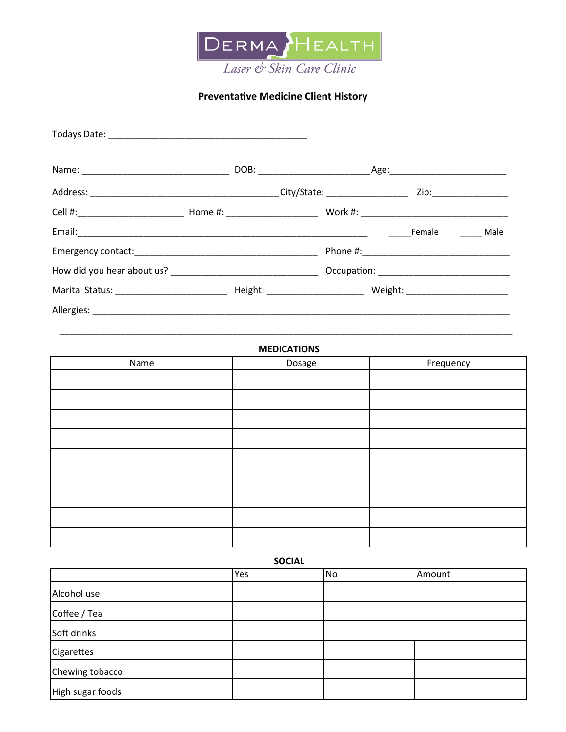

## **Preventative Medicine Client History**

| Marital Status: The Communication of the Height: The Communication of Meight: |  |  |  |  |
|-------------------------------------------------------------------------------|--|--|--|--|
|                                                                               |  |  |  |  |

| <b>MEDICATIONS</b> |        |           |  |  |  |
|--------------------|--------|-----------|--|--|--|
| Name               | Dosage | Frequency |  |  |  |
|                    |        |           |  |  |  |
|                    |        |           |  |  |  |
|                    |        |           |  |  |  |
|                    |        |           |  |  |  |
|                    |        |           |  |  |  |
|                    |        |           |  |  |  |
|                    |        |           |  |  |  |
|                    |        |           |  |  |  |
|                    |        |           |  |  |  |

**SOCIAL** 

|                  | Yes | No | Amount |
|------------------|-----|----|--------|
| Alcohol use      |     |    |        |
| Coffee / Tea     |     |    |        |
| Soft drinks      |     |    |        |
| Cigarettes       |     |    |        |
| Chewing tobacco  |     |    |        |
| High sugar foods |     |    |        |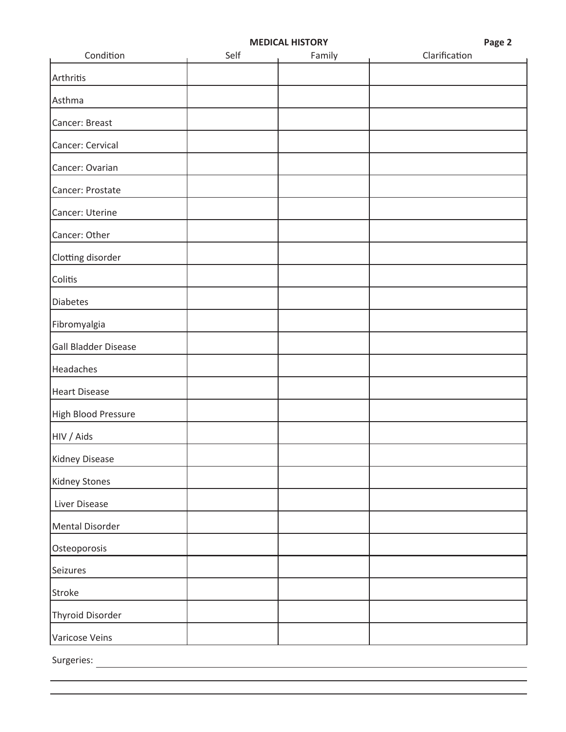| ×<br>۰, |  |
|---------|--|
|---------|--|

L

| Condition            | Self | Family | Clarification |
|----------------------|------|--------|---------------|
| Arthritis            |      |        |               |
| Asthma               |      |        |               |
| Cancer: Breast       |      |        |               |
| Cancer: Cervical     |      |        |               |
| Cancer: Ovarian      |      |        |               |
| Cancer: Prostate     |      |        |               |
| Cancer: Uterine      |      |        |               |
| Cancer: Other        |      |        |               |
| Clotting disorder    |      |        |               |
| Colitis              |      |        |               |
| <b>Diabetes</b>      |      |        |               |
| Fibromyalgia         |      |        |               |
| Gall Bladder Disease |      |        |               |
| Headaches            |      |        |               |
| <b>Heart Disease</b> |      |        |               |
| High Blood Pressure  |      |        |               |
| HIV / Aids           |      |        |               |
| Kidney Disease       |      |        |               |
| <b>Kidney Stones</b> |      |        |               |
| Liver Disease        |      |        |               |
| Mental Disorder      |      |        |               |
| Osteoporosis         |      |        |               |
| Seizures             |      |        |               |
| Stroke               |      |        |               |
| Thyroid Disorder     |      |        |               |
| Varicose Veins       |      |        |               |

Surgeries: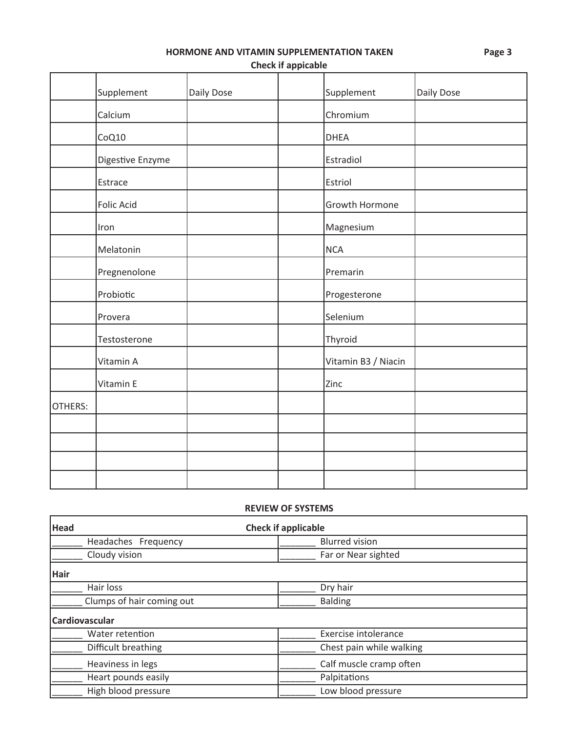HORMONE AND VITAMIN SUPPLEMENTATION TAKEN

**Check if appicable** 

|         | Supplement        | Daily Dose | Supplement          | Daily Dose |
|---------|-------------------|------------|---------------------|------------|
|         | Calcium           |            | Chromium            |            |
|         | CoQ10             |            | <b>DHEA</b>         |            |
|         | Digestive Enzyme  |            | Estradiol           |            |
|         | Estrace           |            | Estriol             |            |
|         | <b>Folic Acid</b> |            | Growth Hormone      |            |
|         | Iron              |            | Magnesium           |            |
|         | Melatonin         |            | <b>NCA</b>          |            |
|         | Pregnenolone      |            | Premarin            |            |
|         | Probiotic         |            | Progesterone        |            |
|         | Provera           |            | Selenium            |            |
|         | Testosterone      |            | Thyroid             |            |
|         | Vitamin A         |            | Vitamin B3 / Niacin |            |
|         | Vitamin E         |            | Zinc                |            |
| OTHERS: |                   |            |                     |            |
|         |                   |            |                     |            |
|         |                   |            |                     |            |
|         |                   |            |                     |            |
|         |                   |            |                     |            |

## **REVIEW OF SYSTEMS**

| <b>Head</b>               | <b>Check if applicable</b> |  |  |
|---------------------------|----------------------------|--|--|
| Headaches Frequency       | <b>Blurred vision</b>      |  |  |
| Cloudy vision             | Far or Near sighted        |  |  |
| <b>Hair</b>               |                            |  |  |
| Hair loss                 | Dry hair                   |  |  |
| Clumps of hair coming out | <b>Balding</b>             |  |  |
| Cardiovascular            |                            |  |  |
| Water retention           | Exercise intolerance       |  |  |
| Difficult breathing       | Chest pain while walking   |  |  |
| Heaviness in legs         | Calf muscle cramp often    |  |  |
| Heart pounds easily       | Palpitations               |  |  |
| High blood pressure       | Low blood pressure         |  |  |

Page 3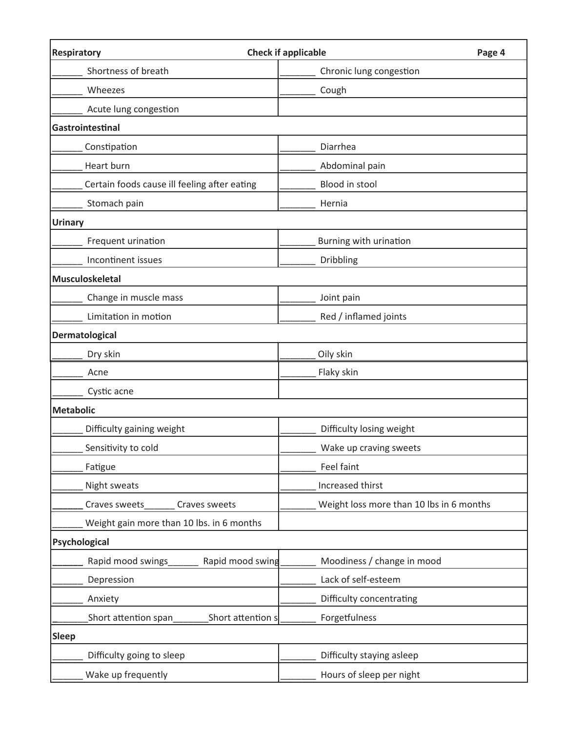| <b>Respiratory</b>                           | <b>Check if applicable</b><br>Page 4     |
|----------------------------------------------|------------------------------------------|
| Shortness of breath                          | Chronic lung congestion                  |
| Wheezes                                      | Cough                                    |
| Acute lung congestion                        |                                          |
| Gastrointestinal                             |                                          |
| Constipation                                 | Diarrhea                                 |
| Heart burn                                   | Abdominal pain                           |
| Certain foods cause ill feeling after eating | Blood in stool                           |
| Stomach pain                                 | Hernia                                   |
| <b>Urinary</b>                               |                                          |
| Frequent urination                           | Burning with urination                   |
| Incontinent issues                           | <b>Dribbling</b>                         |
| Musculoskeletal                              |                                          |
| Change in muscle mass                        | Joint pain                               |
| Limitation in motion                         | Red / inflamed joints                    |
| Dermatological                               |                                          |
| Dry skin                                     | Oily skin                                |
| Acne                                         | Flaky skin                               |
| Cystic acne                                  |                                          |
| <b>Metabolic</b>                             |                                          |
| Difficulty gaining weight                    | Difficulty losing weight                 |
| Sensitivity to cold                          | Wake up craving sweets                   |
| Fatigue                                      | Feel faint                               |
| Night sweats                                 | Increased thirst                         |
| Craves sweets<br>Craves sweets               | Weight loss more than 10 lbs in 6 months |
| Weight gain more than 10 lbs. in 6 months    |                                          |
| Psychological                                |                                          |
| Rapid mood swings<br>Rapid mood swing        | Moodiness / change in mood               |
| Depression                                   | Lack of self-esteem                      |
| Anxiety                                      | Difficulty concentrating                 |
| Short attention span<br>Short attention s    | Forgetfulness                            |
| <b>Sleep</b>                                 |                                          |
| Difficulty going to sleep                    | Difficulty staying asleep                |
| Wake up frequently                           | Hours of sleep per night                 |